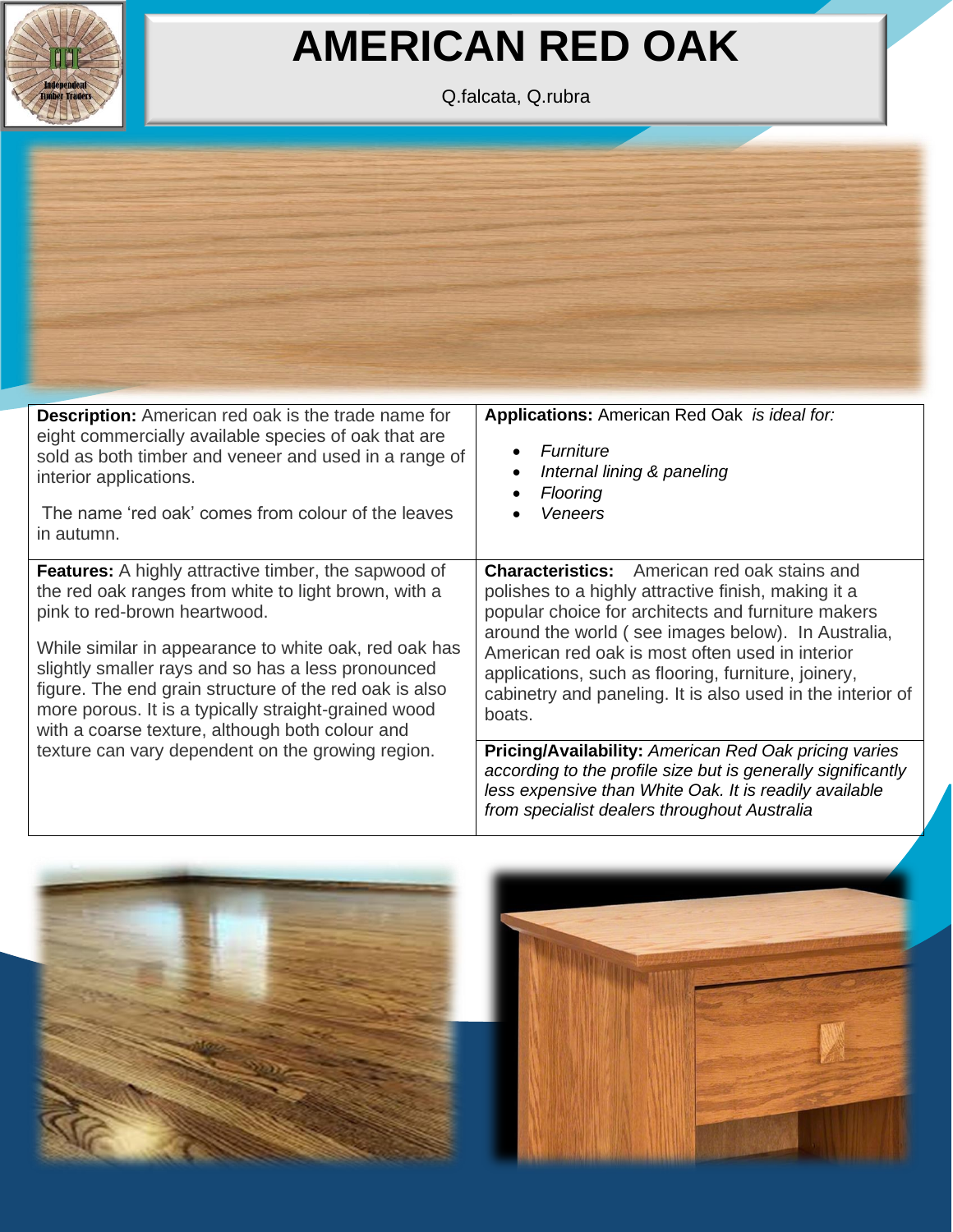

## **AMERICAN RED OAK**

Q.falcata, Q.rubra



| <b>Description:</b> American red oak is the trade name for<br>eight commercially available species of oak that are<br>sold as both timber and veneer and used in a range of<br>interior applications.<br>The name 'red oak' comes from colour of the leaves<br>in autumn.                                                                                                                                                               | <b>Applications:</b> American Red Oak is ideal for:<br>Furniture<br>$\bullet$<br>Internal lining & paneling<br><b>Flooring</b><br>$\bullet$<br><b>Veneers</b>                                                                                                                                                                                                                                            |  |  |
|-----------------------------------------------------------------------------------------------------------------------------------------------------------------------------------------------------------------------------------------------------------------------------------------------------------------------------------------------------------------------------------------------------------------------------------------|----------------------------------------------------------------------------------------------------------------------------------------------------------------------------------------------------------------------------------------------------------------------------------------------------------------------------------------------------------------------------------------------------------|--|--|
| <b>Features:</b> A highly attractive timber, the sapwood of<br>the red oak ranges from white to light brown, with a<br>pink to red-brown heartwood.<br>While similar in appearance to white oak, red oak has<br>slightly smaller rays and so has a less pronounced<br>figure. The end grain structure of the red oak is also<br>more porous. It is a typically straight-grained wood<br>with a coarse texture, although both colour and | <b>Characteristics:</b> American red oak stains and<br>polishes to a highly attractive finish, making it a<br>popular choice for architects and furniture makers<br>around the world (see images below). In Australia,<br>American red oak is most often used in interior<br>applications, such as flooring, furniture, joinery,<br>cabinetry and paneling. It is also used in the interior of<br>boats. |  |  |
| texture can vary dependent on the growing region.                                                                                                                                                                                                                                                                                                                                                                                       | Pricing/Availability: American Red Oak pricing varies<br>according to the profile size but is generally significantly<br>less expensive than White Oak. It is readily available<br>from specialist dealers throughout Australia                                                                                                                                                                          |  |  |